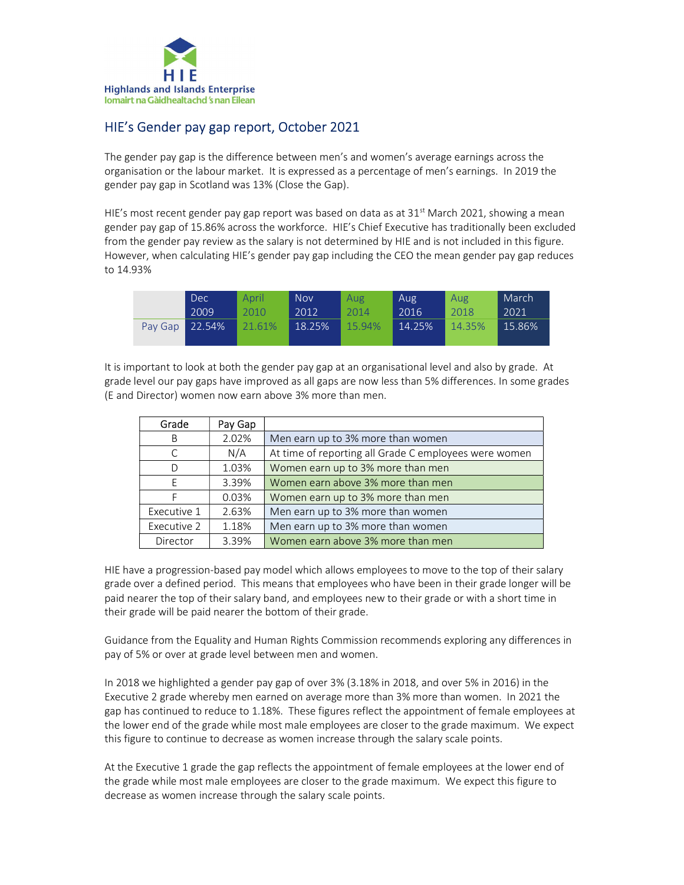

## HIE's Gender pay gap report, October 2021

The gender pay gap is the difference between men's and women's average earnings across the organisation or the labour market. It is expressed as a percentage of men's earnings. In 2019 the gender pay gap in Scotland was 13% (Close the Gap).

HIE's most recent gender pay gap report was based on data as at  $31<sup>st</sup>$  March 2021, showing a mean gender pay gap of 15.86% across the workforce. HIE's Chief Executive has traditionally been excluded from the gender pay review as the salary is not determined by HIE and is not included in this figure. However, when calculating HIE's gender pay gap including the CEO the mean gender pay gap reduces to 14.93%

|         | Dec.   | April  | <b>Nov</b> | Aug    | Aug    | Aug    | March  |
|---------|--------|--------|------------|--------|--------|--------|--------|
|         | 2009   | 2010   | 2012       | 2014   | 2016   | 2018   | 2021   |
| Pay Gap | 22.54% | 21.61% | 18.25%     | 15.94% | 14.25% | 14.35% | 15.86% |

It is important to look at both the gender pay gap at an organisational level and also by grade. At grade level our pay gaps have improved as all gaps are now less than 5% differences. In some grades (E and Director) women now earn above 3% more than men.

| Grade       | Pay Gap |                                                       |
|-------------|---------|-------------------------------------------------------|
| B           | 2.02%   | Men earn up to 3% more than women                     |
| C           | N/A     | At time of reporting all Grade C employees were women |
| D           | 1.03%   | Women earn up to 3% more than men                     |
| F           | 3.39%   | Women earn above 3% more than men                     |
| F           | 0.03%   | Women earn up to 3% more than men                     |
| Executive 1 | 2.63%   | Men earn up to 3% more than women                     |
| Executive 2 | 1.18%   | Men earn up to 3% more than women                     |
| Director    | 3.39%   | Women earn above 3% more than men                     |

HIE have a progression-based pay model which allows employees to move to the top of their salary grade over a defined period. This means that employees who have been in their grade longer will be paid nearer the top of their salary band, and employees new to their grade or with a short time in their grade will be paid nearer the bottom of their grade.

Guidance from the Equality and Human Rights Commission recommends exploring any differences in pay of 5% or over at grade level between men and women.

In 2018 we highlighted a gender pay gap of over 3% (3.18% in 2018, and over 5% in 2016) in the Executive 2 grade whereby men earned on average more than 3% more than women. In 2021 the gap has continued to reduce to 1.18%. These figures reflect the appointment of female employees at the lower end of the grade while most male employees are closer to the grade maximum. We expect this figure to continue to decrease as women increase through the salary scale points.

At the Executive 1 grade the gap reflects the appointment of female employees at the lower end of the grade while most male employees are closer to the grade maximum. We expect this figure to decrease as women increase through the salary scale points.